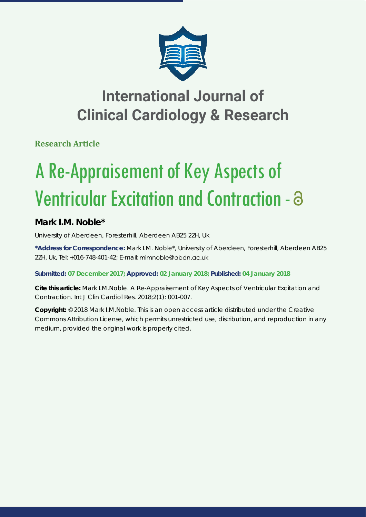

# **International Journal of Clinical Cardiology & Research**

**Research Article**

# A Re-Appraisement of Key Aspects of Ventricular Excitation and Contraction -

# **Mark I.M. Noble\***

*University of Aberdeen, Foresterhill, Aberdeen AB25 2ZH, Uk*

**\*Address for Correspondence:** Mark I.M. Noble\*, University of Aberdeen, Foresterhill, Aberdeen AB25 2ZH, Uk, Tel: +016-748-401-42; E-mail: mimnoble@abdn.ac.uk

**Submitted: 07 December 2017; Approved: 02 January 2018; Published: 04 January 2018**

**Cite this article:** Mark I.M.Noble. A Re-Appraisement of Key Aspects of Ventricular Excitation and Contraction. Int J Clin Cardiol Res. 2018;2(1): 001-007.

**Copyright:** © 2018 Mark I.M.Noble. This is an open access article distributed under the Creative Commons Attribution License, which permits unrestricted use, distribution, and reproduction in any medium, provided the original work is properly cited.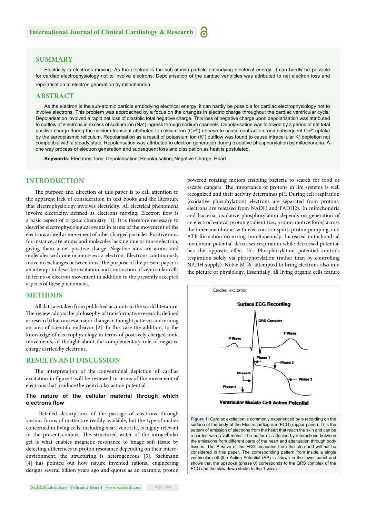#### **SUMMARY**

Electricity is electrons moving. As the electron is the sub-atomic particle embodying electrical energy, it can hardly be possible for cardiac electrophysiology not to involve electrons. Depolarisation of the cardiac ventricles was attributed to net electron loss and repolarisation to electron generation by mitochondria.

#### **ABSTRACT**

As the electron is the sub-atomic particle embodying electrical energy, it can hardly be possible for cardiac electrophysiology not to involve electrons. This problem was approached by a focus on the changes in electric charge throughout the cardiac ventricular cycle. Depolarisation involved a rapid net loss of diastolic total negative charge. This loss of negative charge upon depolarisation was attributed to outflow of electrons in excess of sodium ion (Na+) ingress through sodium channels. Depolarisation was followed by a period of net total positive charge during the calcium transient attributed to calcium ion  $(Ca^{2+})$  release to cause contraction, and subsequent  $Ca^{2+}$  uptake by the sarcoplasmic reticulum. Repolarisation as a result of potassium ion (K+) outflow was found to cause intracellular K+ depletion not compatible with a steady state. Repolarisation was attributed to electron generation during oxidative phosphorylation by mitochondria. A one way process of electron generation and subsequent loss and dissipation as heat is postulated.

**Keywords:** Electrons; Ions; Depolarisation; Repolarisation; Negative Charge; Heart

#### **INTRODUCTION**

The purpose and direction of this paper is to call attention to the apparent lack of consideration in text books and the literature that electrophysiology involves electricity. All electrical phenomena involve electricity, defined as electrons moving. Electron flow is a basic aspect of organic chemistry [1]. It is therefore necessary to describe electrophysiological events in terms of the movement of the electrons as well as movement of other charged particles. Positive ions, for instance, are atoms and molecules lacking one or more electron, giving them a net positive charge. Negative ions are atoms and molecules with one or more extra electron. Electrons continuously move in exchanges between ions. The purpose of the present paper is an attempt to describe excitation and contraction of ventricular cells in terms of electron movement in addition to the presently accepted aspects of these phenomena.

#### **METHODS**

All data are taken from published accounts in the world literature. The review adopts the philosophy of transformative research, defined as research that causes a major change in thought patterns concerning an area of scientific endeavor  $[2]$ . In this case the addition, to the knowledge of electrophysiology in terms of positively charged ionic movements, of thought about the complementary role of negative charge carried by electrons.

#### **RESULTS AND DISCUSSION**

The interpretation of the conventional depiction of cardiac excitation in figure 1 will be reviewed in terms of the movement of electrons that produce the ventricular action potential.

#### **The nature of the cellular material through which electrons flow**

 Detailed descriptions of the passage of electrons through various forms of matter are readily available, but the type of matter concerned in living cells, including heart ventricle, is highly relevant in the present context. The structured water of the intracellular gel is what enables magnetic resonance to image soft tissue by detecting differences in proton resonance depending on their microenvironment; the structuring is heterogeneous [3]. Sackmann [4] has pointed out how nature invented rational engineering designs several billion years ago and quotes as an example, proton

powered rotating motors enabling bacteria to search for food or escape dangers. The importance of protons in life systems is well recognized and their activity determines pH. During cell respiration (oxidative phosphylation) electrons are separated from protons; electrons are released from NADH and FADH2). In mitochondria and bacteria, oxidative phosphorylation depends on generation of an electrochemical proton gradient (i.e., proton-motive force) across the inner membrane*,* with electron transport, proton pumping, and ATP formation occurring simultaneously. Increased mitochondrial membrane potential decreases respiration while decreased potential has the opposite effect [5]. Phosphorylation potential controls respiration solely via phosphorylation (rather than by controlling NADH supply). Noble M [6] attempted to bring electrons also into the picture of physiology. Essentially, all living organic cells feature



**Figure 1:** Cardiac excitation is commonly experienced by a recording on the surface of the body of the Electrocardiogram (ECG) (upper panel). This the pattern of emission of electrons from the heart that reach the skin and can be recorded with a volt meter. The pattern is affected by interactions between the emissions from different parts of the heart and attenuation through body tissues. The P wave of the ECG emanates from the atria and will not be considered in this paper. The corresponding pattern from inside a single ventricular cell (the Action Potential (AP) is shown in the lower panel and shows that the upstroke (phase 0) corresponds to the QRS complex of the ECG and the slow down stroke to the T wave.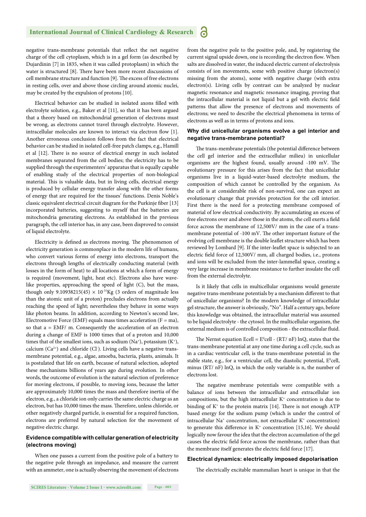negative trans-membrane potentials that reflect the net negative charge of the cell cytoplasm, which is in a gel form (as described by Dujardinin [7] in 1835, when it was called protoplasm) in which the water is structured [8]. There have been more recent discussions of cell membrane structure and function [9]. The excess of free electrons in resting cells, over and above those circling around atomic nuclei, may be created by the expulsion of protons [10].

Electrical behavior can be studied in isolated axons filled with electrolyte solution, e.g., Baker et al [11], so that it has been argued that a theory based on mitochondrial generation of electrons must be wrong, as electrons cannot travel through electrolyte. However, intracellular molecules are known to interact via electron flow [1]. Another erroneous conclusion follows from the fact that electrical behavior can be studied in isolated cell-free patch clamps, e.g., Hamill et al [12]. There is no source of electrical energy in such isolated membranes separated from the cell bodies; the electricity has to be supplied through the experimenters' apparatus that is equally capable of enabling study of the electrical properties of non-biological material. This is valuable data, but in living cells, electrical energy is produced by cellular energy transfer along with the other forms of energy that are required for the tissues' functions. Denis Noble's classic equivalent electrical circuit diagram for the Purkinje fiber [13] incorporated batteries, suggesting to myself that the batteries are mitochondria generating electrons. As established in the previous paragraph, the cell interior has, in any case, been disproved to consist of liquid electrolyte.

Electricity is defined as electrons moving. The phenomenon of electricity generation is commonplace in the modern life of humans, who convert various forms of energy into electrons, transport the electrons through lengths of electrically conducting material (with losses in the form of heat) to all locations at which a form of energy is required (movement, light, heat etc). Electrons also have wavelike properties, approaching the speed of light (C), but the mass, though only 9.10938215(45)  $\times$  10<sup>-31</sup>Kg (3 orders of magnitude less than the atomic unit of a proton) precludes electrons from actually reaching the speed of light; nevertheless they behave in some ways like photon beams. In addition, according to Newton's second law, Electromotive Force (EMF) equals mass times acceleration ( $F = ma$ ), so that a = EMF/ m. Consequently the acceleration of an electron during a change of EMF is 1000 times that of a proton and 10,000 times that of the smallest ions, such as sodium (Na<sup>+</sup>), potassium (K<sup>+</sup>), calcium  $(Ca^{2+})$  and chloride  $(Cl)$ . Living cells have a negative transmembrane potential, e.g., algae, amoeba, bacteria, plants, animals. It is postulated that life on earth, because of natural selection, adopted these mechanisms billions of years ago during evolution. In other words, the outcome of evolution is the natural selection of preference for moving electrons, if possible, to moving ions, because the latter are approximately 10,000 times the mass and therefore inertia of the electron, e.g., a chloride ion only carries the same electric charge as an electron, but has 10,000 times the mass. Therefore, unless chloride, or other negatively charged particle, is essential for a required function, electrons are preferred by natural selection for the movement of negative electric charge.

#### **Evidence compatible with cellular generation of electricity (electrons moving)**

When one passes a current from the positive pole of a battery to the negative pole through an impedance, and measure the current with an ammeter, one is actually observing the movement of electrons from the negative pole to the positive pole, and, by registering the current signal upside down, one is recording the electron flow. When salts are dissolved in water, the induced electric current of electrolysis consists of ion movements, some with positive charge (electron(s) missing from the atoms), some with negative charge (with extra electron(s). Living cells by contrast can be analyzed by nuclear magnetic resonance and magnetic resonance imaging, proving that the intracellular material is not liquid but a gel with electric field patterns that allow the presence of electrons and movements of electrons; we need to describe the electrical phenomena in terms of electrons as well as in terms of protons and ions.

#### **Why did unicellular organisms evolve a gel interior and negative trans-membrane potential?**

The trans-membrane potentials (the potential difference between the cell gel interior and the extracellular milieu) in unicellular organisms are the highest found, usually around -100 mV. The evolutionary pressure for this arises from the fact that unicellular organisms live in a liquid-water-based electrolyte medium, the composition of which cannot be controlled by the organism. As the cell is at considerable risk of non-survival, one can expect an evolutionary change that provides protection for the cell interior. First there is the need for a protecting membrane composed of material of low electrical conductivity. By accumulating an excess of free electrons over and above those in the atoms, the cell exerts a field force across the membrane of 12,500V/ mm in the case of a transmembrane potential of -100 mV. The other important feature of the evolving cell membrane is the double leaflet structure which has been reviewed by Lombard [9]. If the inter-leaflet space is subjected to an electric field force of 12,500V/ mm, all charged bodies, i.e., protons and ions will be excluded from the inter-lammellal space, creating a very large increase in membrane resistance to further insulate the cell from the external electrolyte.

Is it likely that cells in multicellular organisms would generate negative trans-membrane potentials by a mechanism different to that of unicellular organisms? In the modern knowledge of intracellular gel structure, the answer is obviously, "No". Half a century ago, before this knowledge was obtained, the intracellular material was assumed to be liquid electrolyte - the cytosol. In the multicellular organism, the external medium is of controlled composition - the extracellular fluid.

The Nernst equation Ecell =  $E^0$ cell - (RT/ nF) lnQ, states that the trans-membrane potential at any one time during a cell cycle, such as in a cardiac ventricular cell, is the trans-membrane potential in the stable state, e.g., for a ventricular cell, the diastolic potential,  $E^0$ cell, minus (RT/ nF) lnQ, in which the only variable is n, the number of electrons lost.

The negative membrane potentials were compatible with a balance of ions between the intracellular and extracellular ion compositions, but the high intracellular K+ concentration is due to binding of  $K^*$  to the protein matrix [14]. There is not enough ATP based energy for the sodium pump (which is under the control of intracellular Na+ concentration, not extracellular K+ concentration) to generate this difference in  $K^*$  concentration [15,16]. We should logically now favour the idea that the electron accumulation of the gel causes the electric field force across the membrane, rather than that the membrane itself generates the electric field force [17].

#### **Electrical dynamics: electrically imposed depolarisation**

The electrically excitable mammalian heart is unique in that the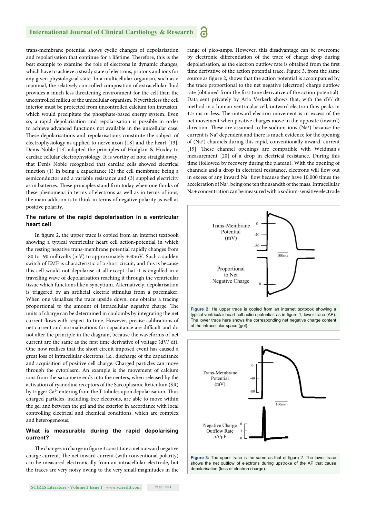#### **International Journal of Clinical Cardiology & Research** 6

trans-membrane potential shows cyclic changes of depolarisation and repolarisation that continue for a lifetime. Therefore, this is the best example to examine the role of electrons in dynamic changes, which have to achieve a steady state of electrons, protons and ions for any given physiological state. In a multicellular organism, such as a mammal, the relatively controlled composition of extracellular fluid provides a much less threatening environment for the cell than the uncontrolled milieu of the unicellular organism. Nevertheless the cell interior must be protected from uncontrolled calcium ion intrusion, which would precipitate the phosphate-based energy system. Even so, a rapid depolarisation and repolarisation is possible in order to achieve advanced functions not available in the unicellular case. These depolarisations and repolarisations constitute the subject of electrophysiology as applied to nerve axon [18] and the heart [13]. Denis Noble [13] adapted the principles of Hodgkin & Huxley to cardiac cellular electrophysiology. It is worthy of note straight away, that Denis Noble recognized that cardiac cells showed electrical function (1) in being a capacitance (2) the cell membrane being a semiconductor and a variable resistance and (3) supplied electricity as in batteries. These principles stand firm today when one thinks of these phenomena in terms of electrons as well as in terms of ions; the main addition is to think in terms of negative polarity as well as positive polarity.

#### **The nature of the rapid depolarisation in a ventricular heart cell**

In figure 2, the upper trace is copied from an internet textbook showing a typical ventricular heart cell action-potential in which the resting negative trans-membrane potential rapidly changes from -80 to -90 millivolts (mV) to approximately +30mV. Such a sudden switch of EMF is characteristic of a short circuit, and this is because this cell would not depolarise at all except that it is engulfed in a travelling wave of depolarisation reaching it through the ventricular tissue which functions like a syncytium. Alternatively, depolarisation is triggered by an artificial electric stimulus from a pacemaker. When one visualizes the trace upside down, one obtains a tracing proportional to the amount of intracellular negative charge. The units of charge can be determined in coulombs by integrating the net current flows with respect to time. However, precise calibrations of net current and normalizations for capacitance are difficult and do not alter the principle in the diagram, because the waveforms of net current are the same as the first time derivative of voltage (dV/ dt). One now realises that the short circuit imposed event has caused a great loss of intracellular electrons, i.e., discharge of the capacitance and acquisition of positive cell charge. Charged particles can move through the cytoplasm. An example is the movement of calcium ions from the sarcomere ends into the centers, when released by the activation of ryanodine receptors of the Sarcoplasmic Reticulum (SR) by trigger Ca<sup>2+</sup> entering from the T tubules upon depolarisation. Thus charged particles, including free electrons, are able to move within the gel and between the gel and the exterior in accordance with local controlling electrical and chemical conditions, which are complex and heterogeneous.

#### **What is measurable during the rapid depolarising current?**

The changes in charge in figure 3 constitute a net outward negative charge current. The net inward current (with conventional polarity) can be measured electronically from an intracellular electrode, but the traces are very noisy owing to the very small magnitudes in the range of pico-amps. However, this disadvantage can be overcome by electronic differentiation of the trace of charge drop during depolarisation, as the electron outflow rate is obtained from the first time derivative of the action potential trace. Figure 3, from the same source as figure 2, shows that the action potential is accompanied by the trace proportional to the net negative (electron) charge outflow rate (obtained from the first time derivative of the action potential). Data sent privately by Aria Verkerk shows that, with the dV/ dt method in a human ventricular cell, outward electron flow peaks in 1.5 ms or less. The outward electron movement is in excess of the net movement when positive charges move in the opposite (inward) direction. These are assumed to be sodium ions  $(Na<sup>+</sup>)$  because the current is Na<sup>+</sup> dependent and there is much evidence for the opening of (Na+) channels during this rapid, conventionally inward, current [19]. These channel openings are compatible with Weidman's measurement [20] of a drop in electrical resistance. During this time (followed by recovery during the plateau). With the opening of channels and a drop in electrical resistance, electrons will flow out in excess of any inward Na<sup>+</sup> flow because they have 10,000 times the acceleration of Na<sup>+</sup>, being one ten thousandth of the mass. Intracellular Na+ concentration can be measured with a sodium-sensitive electrode



**Figure 2:** He upper trace is copied from an internet textbook showing a typical ventricular heart cell action-potential, as in figure 1, lower trace (AP). The lower trace here shows the corresponding net negative charge content of the intracellular space (gel).

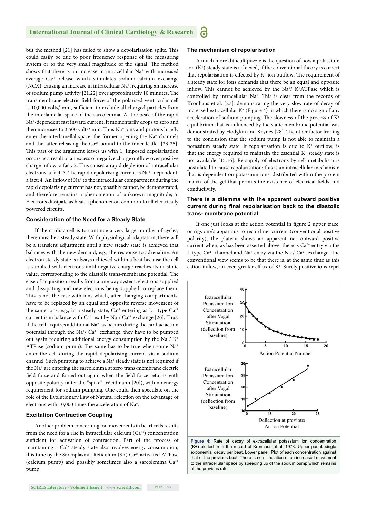#### **International Journal of Clinical Cardiology & Research** a

but the method [21] has failed to show a depolarisation spike. This could easily be due to poor frequency response of the measuring system or to the very small magnitude of the signal. The method shows that there is an increase in intracellular Na<sup>+</sup> with increased average Ca2+ release which stimulates sodium-calcium exchange  $(NCX)$ , causing an increase in intracellular  $Na<sup>+</sup>$ , requiring an increase of sodium pump activity  $[21,22]$  over approximately 10 minutes. The transmembrane electric field force of the polarised ventricular cell is 10,000 volts/ mm, sufficient to exclude all charged particles from the interlamellal space of the sarcolemma. At the peak of the rapid Na+-dependent fast inward current, it momentarily drops to zero and then increases to 3,500 volts/ mm. Thus Na<sup>+</sup> ions and protons briefly enter the interlamellal space, the former opening the Na<sup>+</sup> channels and the latter releasing the  $Ca^{2+}$  bound to the inner leaflet [23-25]. This part of the argument leaves us with 1. Imposed depolarisation occurs as a result of an excess of negative charge outflow over positive charge inflow, a fact; 2. This causes a rapid depletion of intracellular electrons, a fact; 3. The rapid depolarising current is  $Na^+$ - dependent, a fact; 4. An inflow of  $Na^+$  to the intracellular compartment during the rapid depolarising current has not, possibly cannot, be demonstrated, and therefore remains a phenomenon of unknown magnitude; 5. Electrons dissipate as heat, a phenomenon common to all electrically powered circuits.

#### **Consideration of the Need for a Steady State**

If the cardiac cell is to continue a very large number of cycles, there must be a steady state. With physiological adaptation, there will be a transient adjustment until a new steady state is achieved that balances with the new demand, e.g., the response to adrenaline. An electron steady state is always achieved within a beat because the cell is supplied with electrons until negative charge reaches its diastolic value, corresponding to the diastolic trans-membrane potential. The ease of acquisition results from a one way system, electrons supplied and dissipating and new electrons being supplied to replace them. This is not the case with ions which, after changing compartments, have to be replaced by an equal and opposite reverse movement of the same ions, e.g., in a steady state,  $Ca^{2+}$  entering as L - type  $Ca^{2+}$ current is in balance with  $Ca^{2+}$  exit by Na<sup>+</sup>/  $Ca^{2+}$  exchange [26]. Thus, if the cell acquires additional Na<sup>+</sup>, as occurs during the cardiac action potential through the Na<sup>+</sup>/  $Ca<sup>2+</sup>$  exchange, they have to be pumped out again requiring additional energy consumption by the Na<sup>+</sup>/ K<sup>+</sup> ATPase (sodium pump). The same has to be true when some  $Na<sup>+</sup>$ enter the cell during the rapid depolarising current via a sodium channel. Such pumping to achieve a Na<sup>+</sup> steady state is not required if the Na+ are entering the sarcolemma at zero trans-membrane electric field force and forced out again when the field force returns with opposite polarity (after the "spike", Weidmann [20]), with no energy requirement for sodium pumping. One could then speculate on the role of the Evolutionary Law of Natural Selection on the advantage of electrons with 10,000 times the acceleration of Na+.

#### **Excitation Contraction Coupling**

Another problem concerning ion movements in heart cells results from the need for a rise in intracellular calcium  $(Ca^{2+})$  concentration sufficient for activation of contraction. Part of the process of maintaining a  $Ca^{2+}$  steady state also involves energy consumption, this time by the Sarcoplasmic Reticulum (SR) Ca<sup>2+</sup> activated ATPase (calcium pump) and possibly sometimes also a sarcolemma Ca2+ pump.

#### **The mechanism of repolarisation**

A much more difficult puzzle is the question of how a potassium ion  $(K^+)$  steady state is achieved, if the conventional theory is correct that repolarisation is effected by  $K^+$  ion outflow. The requirement of a steady state for ions demands that there be an equal and opposite inflow. This cannot be achieved by the Na<sup>+</sup>/ K<sup>+</sup>ATPase which is controlled by intracellular Na<sup>+</sup>. This is clear from the records of Kronhaus et al. [27], demonstrating the very slow rate of decay of increased extracellular  $K^+$  (Figure 4) in which there is no sign of any acceleration of sodium pumping. The slowness of the process of  $K^*$ equilibrium that is influenced by the static membrane potential was demonstrated by Hodgkin and Keynes [28]. The other factor leading to the conclusion that the sodium pump is not able to maintain a potassium steady state, if repolarisation is due to  $K^+$  outflow, is that the energy required to maintain the essential  $K^+$  steady state is not available [15,16]. Re-supply of electrons by cell metabolism is postulated to cause repolarisation; this is an intracellular mechanism that is dependent on potassium ions, distributed within the protein matrix of the gel that permits the existence of electrical fields and conductivity.

#### **There is a dilemma with the apparent outward positive**  current during final repolarisation back to the diastolic **trans- membrane potential**

If one just looks at the action potential in figure 2 upper trace, or rigs one's apparatus to record net current (conventional positive polarity), the plateau shows an apparent net outward positive current when, as has been asserted above, there is  $Ca<sup>2+</sup>$  entry via the L-type  $Ca^{2+}$  channel and Na<sup>+</sup> entry via the Na<sup>+</sup>/  $Ca^{2+}$  exchange. The conventional view seems to be that there is, at the same time as this cation inflow, an even greater efflux of  $K^*$ . Surely positive ions repel



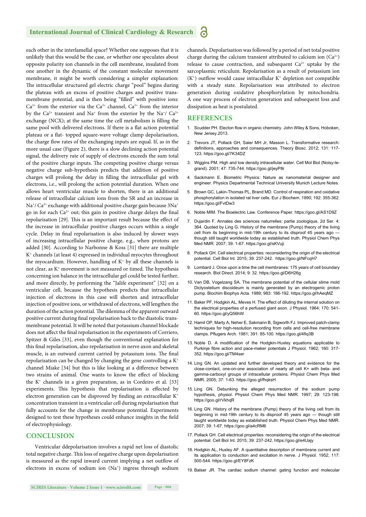#### **International Journal of Clinical Cardiology & Research** 'n

each other in the interlamellal space? Whether one supposes that it is unlikely that this would be the case, or whether one speculates about opposite polarity ion channels in the cell membrane, insulated from one another in the dynamic of the constant molecular movement membrane, it might be worth considering a simpler explanation: The intracellular structured gel electric charge "pool" begins during the plateau with an excess of positive charges and positive transmembrane potential, and is then being "filled" with positive ions:  $Ca^{2+}$  from the exterior via the  $Ca^{2+}$  channel,  $Ca^{2+}$  from the interior by the Ca<sup>2+</sup> transient and Na<sup>+</sup> from the exterior by the Na<sup>+</sup>/ Ca<sup>2+</sup> exchange (NCX); at the same time the cell metabolism is filling the same pool with delivered electrons. If there is a flat action potential plateau or a flat- topped square-wave voltage clamp depolarisation, the charge flow rates of the exchanging inputs are equal. If, as in the more usual case (Figure 2), there is a slow declining action potential signal, the delivery rate of supply of electrons exceeds the sum total of the positive charge inputs. The competing positive charge versus negative charge sub-hypothesis predicts that addition of positive charges will prolong the delay in filling the intracellular gel with electrons, i.e., will prolong the action potential duration. When one allows heart ventricular muscle to shorten, there is an additional release of intracellular calcium ions from the SR and an increase in Na<sup>+</sup>/ Ca<sup>2+</sup> exchange with additional positive charge gain because  $3Na^{+}$ go in for each  $Ca^{2+}$  out; this gain in positive charge delays the final repolarisation [29]. This is an important result because the effect of the increase in intracellular positive charges occurs within a single cycle. Delay in final repolarisation is also induced by slower ways of increasing intracellular positive charge, e.g., when protons are added [30]. According to Narbonne & Koss [31] there are multiple K+ channels (at least 4) expressed in individual myocytes throughout the myocardium. However, handling of  $K^+$  by all these channels is not clear, as  $K^+$  movement is not measured or timed. The hypothesis concerning ion balance in the intracellular gel could be tested further, and more directly, by performing the "Jalife experiment" [32] on a ventricular cell, because the hypothesis predicts that intracellular injection of electrons in this case will shorten and intracellular injection of positive ions, or withdrawal of electrons, will lengthen the duration of the action potential. The dilemma of the apparent outward positive current during final repolarisation back to the diastolic transmembrane potential. It will be noted that potassium channel blockade does not affect the final repolarisation in the experiments of Corriero, Spitzer & Giles [33], even though the conventional explanation for this final repolarisation, also repolarisation in nerve axon and skeletal muscle, is an outward current carried by potassium ions. The final repolarisation can be changed by changing the gene controlling a  $K^+$ channel Miake [34] but this is like looking at a difference between two strains of animal. One wants to know the effect of blocking the  $K^+$  channels in a given preparation, as in Cordeiro et al. [33] experiments. This hypothesis that repolarisation is effected by electron generation can be disproved by finding an extracellular  $K^+$ concentration transient in a ventricular cell during repolarisation that fully accounts for the change in membrane potential. Experiments designed to test these hypotheses could enhance insights in the field of electrophysiology.

#### **CONCLUSION**

Ventricular ddepolarisation involves a rapid net loss of diastolic total negative charge. This loss of negative charge upon depolarisation is measured as the rapid inward current implying a net outflow of electrons in excess of sodium ion (Na<sup>+</sup>) ingress through sodium channels. Depolarisation was followed by a period of net total positive charge during the calcium transient attributed to calcium ion  $(Ca^{2+})$ release to cause contraction, and subsequent  $Ca^{2+}$  uptake by the sarcoplasmic reticulum. Repolarisation as a result of potassium ion  $(K^+)$  outflow would cause intracellular  $K^+$  depletion not compatible with a steady state. Repolarisation was attributed to electron generation during oxidative phosphorylation by mitochondria. A one way process of electron generation and subsequent loss and dissipation as heat is postulated.

## **REFERENCES**

- 1. Scudder PH. Electon flow in organic chemistry. John Wiley & Sons, Hoboken, New Jersey.2013.
- 2. Trevors JT, Pollack GH, Saier MH Jr, Masson L. Transformative research: definitions, approaches and consequences. Theory Biosc. 2012; 131: 117-123. https://goo.gl/7K34DZ
- 3. Wiggins PM. High and low density intracellular water. Cell Mol Biol (Noisy-legrand). 2001; 47: 735-744. https://goo.gl/jeyP8r
- 4. Sackmann E. Biometric Physics: Nature as nanomaterial designer and engineer. Physics Departmental Technical University Munich Lecture Notes.
- 5 Brown GC, Lakin-Thomas PL, Brand MD. Control of respiration and oxidative phosphorylation in isolated rat liver cells. Eur J Biochem. 1990; 192: 355-362. https://goo.gl/FvtDw3
- 6. Noble MIM. The Bioelectric Law. Conference Paper. https://goo.gl/AS1D9Z
- 7. Dujardin F. Annales des sciences naturrelles: partie zoologique, 2d Ser. 4: 364. Quoted by Ling G. History of the membrane (Pump) theory of the living cell from its beginning in mid-19th century to its disproof 45 years ago though still taught worldwide today as established truth. Physiol Chem Phys Med NMR. 2007; 39: 1-67. https://goo.gl/sKVuji
- 8. Pollack GH. Cell electrical properties: reconsidering the origin of the electrical potential. Cell Biol Int. 2015; 39: 237-242. https://goo.gl/NFcqH7
- 9. Lombard J. Once upon a time the cell membranes: 175 years of cell boundary research. Biol Direct. 2014; 9: 32. https://goo.gl/D6H26g
- 10. Van DB, Vogelzang SA. The membrane potential of the cellular slime mold Dictyostelium discoideum is mainly generated by an electrogenic proton pump. Biochim Biophys Acta. 1989; 983: 186-192. https://goo.gl/hAeqMZ
- 11. Baker PF, Hodgkin AL, Meves H. The effect of diluting the internal solution on the electrical properties of a perfused giant axon. J Physiol. 1964; 170: 541- 60. https://goo.gl/yQ56hW
- 12. Hamil OP, Marty A, Neher E, Sakmann B, Sigworth FJ. Improved patch-clamp techniques for high-resolution recording from cells and cell-free membrane clamps. Pflugers Arch. 1981; 391: 85-100. https://goo.gl/4fiq3B
- 13. Noble D. A modification of the Hodgkin-Huxley equations applicable to Purkinje fibre action and pace-maker potentials J Physiol. 1962; 160: 317-352. https://goo.gl/TM4ser
- 14. Ling GN. An updated and further developed theory and evidence for the close-contact, one-on-one association of nearly all cell K+ with beta- and gamma-carboxyl groups of intracellular proteins. Physiol Chem Phys Med NMR. 2005; 37: 1-63. https://goo.gl/fhqksH
- 15. Ling GN. Debunking the alleged resurrection of the sodium pump hypothesis, physiol. Physiol Chem Phys Med NMR. 1997; 29: 123-198. https://goo.gl/rVkhqR
- 16. Ling GN. History of the membrane (Pump) theory of the living cell from its beginning in mid-19th century to its disproof 45 years ago — though still taught worldwide today as established truth. Physiol Chem Phys Med NMR. 2007; 39: 1-67. https://goo.gl/a4cRM6
- 17. Pollack GH. Cell electrical properties: reconsidering the origin of the electrical potential. Cell Biol Int. 2015; 39: 237-242. https://goo.gl/e4Uajy
- 18. Hodgkin AL, Huxley AF. A quantitative description of membrane current and its application to conduction and excitation in nerve. J Physiol. 1952; 117: 500-544. https://goo.gl/EY8FzK
- 19. Balser JR. The cardiac sodium channel: gating function and molecular